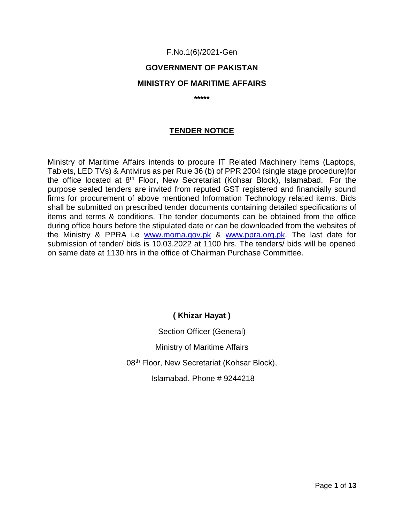#### F.No.1(6)/2021-Gen

### **GOVERNMENT OF PAKISTAN**

#### **MINISTRY OF MARITIME AFFAIRS**

**\*\*\*\*\***

### **TENDER NOTICE**

Ministry of Maritime Affairs intends to procure IT Related Machinery Items (Laptops, Tablets, LED TVs) & Antivirus as per Rule 36 (b) of PPR 2004 (single stage procedure)for the office located at 8th Floor, New Secretariat (Kohsar Block), Islamabad. For the purpose sealed tenders are invited from reputed GST registered and financially sound firms for procurement of above mentioned Information Technology related items. Bids shall be submitted on prescribed tender documents containing detailed specifications of items and terms & conditions. The tender documents can be obtained from the office during office hours before the stipulated date or can be downloaded from the websites of the Ministry & PPRA i.e [www.moma.gov.pk](http://www.moma.gov.pk/) & [www.ppra.org.pk.](http://www.ppra.org.pk/) The last date for submission of tender/ bids is 10.03.2022 at 1100 hrs. The tenders/ bids will be opened on same date at 1130 hrs in the office of Chairman Purchase Committee.

## **( Khizar Hayat )**

Section Officer (General) Ministry of Maritime Affairs 08<sup>th</sup> Floor, New Secretariat (Kohsar Block), Islamabad. Phone # 9244218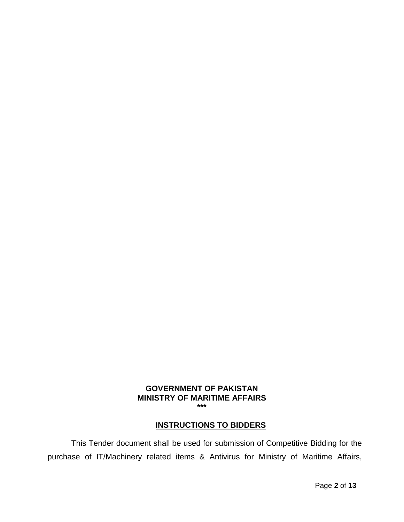#### **GOVERNMENT OF PAKISTAN MINISTRY OF MARITIME AFFAIRS \*\*\***

### **INSTRUCTIONS TO BIDDERS**

This Tender document shall be used for submission of Competitive Bidding for the purchase of IT/Machinery related items & Antivirus for Ministry of Maritime Affairs,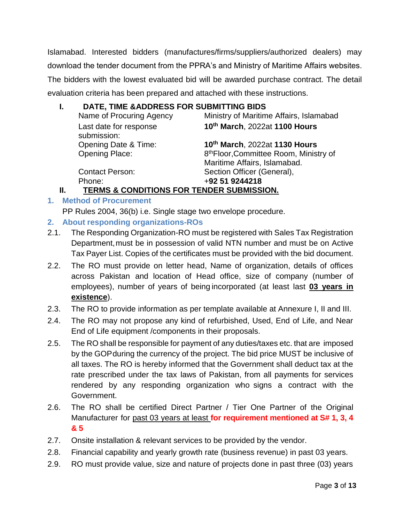Islamabad. Interested bidders (manufactures/firms/suppliers/authorized dealers) may download the tender document from the PPRA's and Ministry of Maritime Affairs websites. The bidders with the lowest evaluated bid will be awarded purchase contract. The detail evaluation criteria has been prepared and attached with these instructions.

## **I. DATE, TIME &ADDRESS FOR SUBMITTING BIDS**

|    | Name of Procuring Agency                  | Ministry of Maritime Affairs, Islamabad                                            |
|----|-------------------------------------------|------------------------------------------------------------------------------------|
|    | Last date for response<br>submission:     | 10th March, 2022at 1100 Hours                                                      |
|    | Opening Date & Time:                      | 10th March, 2022at 1130 Hours                                                      |
|    | <b>Opening Place:</b>                     | 8 <sup>th</sup> Floor, Committee Room, Ministry of<br>Maritime Affairs, Islamabad. |
|    | <b>Contact Person:</b>                    | Section Officer (General),                                                         |
|    | Phone:                                    | +92 51 9244218                                                                     |
| П. | TERMS & CONDITIONS FOR TENDER SUBMISSION. |                                                                                    |

**1. Method of Procurement**

PP Rules 2004, 36(b) i.e. Single stage two envelope procedure.

- **2. About responding organizations-ROs**
- 2.1. The Responding Organization-RO must be registered with Sales Tax Registration Department, must be in possession of valid NTN number and must be on Active Tax Payer List. Copies of the certificates must be provided with the bid document.
- 2.2. The RO must provide on letter head, Name of organization, details of offices across Pakistan and location of Head office, size of company (number of employees), number of years of being incorporated (at least last **03 years in existence**).
- 2.3. The RO to provide information as per template available at Annexure I, II and III.
- 2.4. The RO may not propose any kind of refurbished, Used, End of Life, and Near End of Life equipment /components in their proposals.
- 2.5. The RO shall be responsible for payment of any duties/taxes etc. that are imposed by the GOPduring the currency of the project. The bid price MUST be inclusive of all taxes. The RO is hereby informed that the Government shall deduct tax at the rate prescribed under the tax laws of Pakistan, from all payments for services rendered by any responding organization who signs a contract with the Government.
- 2.6. The RO shall be certified Direct Partner / Tier One Partner of the Original Manufacturer for past 03 years at least **for requirement mentioned at S# 1, 3, 4 & 5**
- 2.7. Onsite installation & relevant services to be provided by the vendor.
- 2.8. Financial capability and yearly growth rate (business revenue) in past 03 years.
- 2.9. RO must provide value, size and nature of projects done in past three (03) years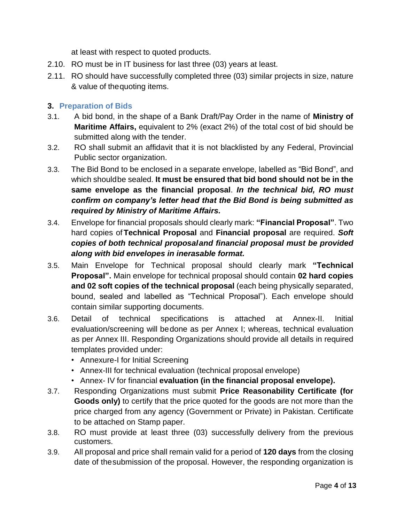at least with respect to quoted products.

- 2.10. RO must be in IT business for last three (03) years at least.
- 2.11. RO should have successfully completed three (03) similar projects in size, nature & value of thequoting items.

### **3. Preparation of Bids**

- 3.1. A bid bond, in the shape of a Bank Draft/Pay Order in the name of **Ministry of Maritime Affairs,** equivalent to 2% (exact 2%) of the total cost of bid should be submitted along with the tender.
- 3.2. RO shall submit an affidavit that it is not blacklisted by any Federal, Provincial Public sector organization.
- 3.3. The Bid Bond to be enclosed in a separate envelope, labelled as "Bid Bond", and which shouldbe sealed. **It must be ensured that bid bond should not be in the same envelope as the financial proposal**. *In the technical bid, RO must confirm on company's letter head that the Bid Bond is being submitted as required by Ministry of Maritime Affairs.*
- 3.4. Envelope for financial proposals should clearly mark: **"Financial Proposal"**. Two hard copies of**Technical Proposal** and **Financial proposal** are required. *Soft copies of both technical proposaland financial proposal must be provided along with bid envelopes in inerasable format.*
- 3.5. Main Envelope for Technical proposal should clearly mark **"Technical Proposal".** Main envelope for technical proposal should contain **02 hard copies and 02 soft copies of the technical proposal** (each being physically separated, bound, sealed and labelled as "Technical Proposal"). Each envelope should contain similar supporting documents.
- 3.6. Detail of technical specifications is attached at Annex-II. Initial evaluation/screening will bedone as per Annex I; whereas, technical evaluation as per Annex III. Responding Organizations should provide all details in required templates provided under:
	- Annexure-I for Initial Screening
	- Annex-III for technical evaluation (technical proposal envelope)
	- Annex- IV for financial **evaluation (in the financial proposal envelope).**
- 3.7. Responding Organizations must submit **Price Reasonability Certificate (for Goods only)** to certify that the price quoted for the goods are not more than the price charged from any agency (Government or Private) in Pakistan. Certificate to be attached on Stamp paper.
- 3.8. RO must provide at least three (03) successfully delivery from the previous customers.
- 3.9. All proposal and price shall remain valid for a period of **120 days** from the closing date of thesubmission of the proposal. However, the responding organization is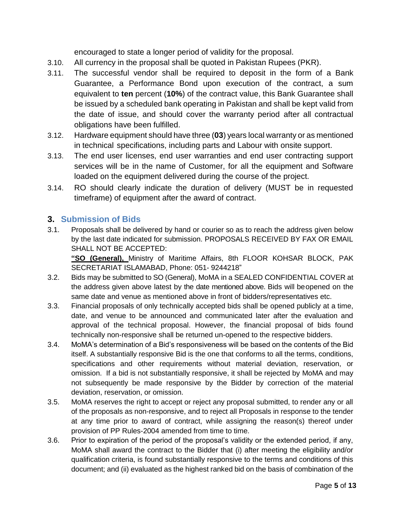encouraged to state a longer period of validity for the proposal.

- 3.10. All currency in the proposal shall be quoted in Pakistan Rupees (PKR).
- 3.11. The successful vendor shall be required to deposit in the form of a Bank Guarantee, a Performance Bond upon execution of the contract, a sum equivalent to **ten** percent (**10%**) of the contract value, this Bank Guarantee shall be issued by a scheduled bank operating in Pakistan and shall be kept valid from the date of issue, and should cover the warranty period after all contractual obligations have been fulfilled.
- 3.12. Hardware equipment should have three (**03**) years local warranty or as mentioned in technical specifications, including parts and Labour with onsite support.
- 3.13. The end user licenses, end user warranties and end user contracting support services will be in the name of Customer, for all the equipment and Software loaded on the equipment delivered during the course of the project.
- 3.14. RO should clearly indicate the duration of delivery (MUST be in requested timeframe) of equipment after the award of contract.

## **3. Submission of Bids**

3.1. Proposals shall be delivered by hand or courier so as to reach the address given below by the last date indicated for submission. PROPOSALS RECEIVED BY FAX OR EMAIL SHALL NOT BE ACCEPTED:

**"SO (General),** Ministry of Maritime Affairs, 8th FLOOR KOHSAR BLOCK, PAK SECRETARIAT ISLAMABAD, Phone: 051- 9244218"

- 3.2. Bids may be submitted to SO (General), MoMA in a SEALED CONFIDENTIAL COVER at the address given above latest by the date mentioned above. Bids will beopened on the same date and venue as mentioned above in front of bidders/representatives etc.
- 3.3. Financial proposals of only technically accepted bids shall be opened publicly at a time, date, and venue to be announced and communicated later after the evaluation and approval of the technical proposal. However, the financial proposal of bids found technically non-responsive shall be returned un-opened to the respective bidders.
- 3.4. MoMA's determination of a Bid's responsiveness will be based on the contents of the Bid itself. A substantially responsive Bid is the one that conforms to all the terms, conditions, specifications and other requirements without material deviation, reservation, or omission. If a bid is not substantially responsive, it shall be rejected by MoMA and may not subsequently be made responsive by the Bidder by correction of the material deviation, reservation, or omission.
- 3.5. MoMA reserves the right to accept or reject any proposal submitted, to render any or all of the proposals as non-responsive, and to reject all Proposals in response to the tender at any time prior to award of contract, while assigning the reason(s) thereof under provision of PP Rules-2004 amended from time to time.
- 3.6. Prior to expiration of the period of the proposal's validity or the extended period, if any, MoMA shall award the contract to the Bidder that (i) after meeting the eligibility and/or qualification criteria, is found substantially responsive to the terms and conditions of this document; and (ii) evaluated as the highest ranked bid on the basis of combination of the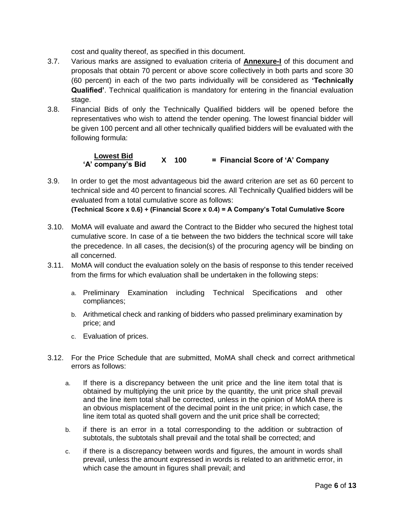cost and quality thereof, as specified in this document.

- 3.7. Various marks are assigned to evaluation criteria of **Annexure-I** of this document and proposals that obtain 70 percent or above score collectively in both parts and score 30 (60 percent) in each of the two parts individually will be considered as **'Technically Qualified'**. Technical qualification is mandatory for entering in the financial evaluation stage.
- 3.8. Financial Bids of only the Technically Qualified bidders will be opened before the representatives who wish to attend the tender opening. The lowest financial bidder will be given 100 percent and all other technically qualified bidders will be evaluated with the following formula:

#### **Lowest Bid. X 100 = Financial Score of 'A' Company 'A' company's Bid**

- 3.9. In order to get the most advantageous bid the award criterion are set as 60 percent to technical side and 40 percent to financial scores. All Technically Qualified bidders will be evaluated from a total cumulative score as follows: **(Technical Score x 0.6) + (Financial Score x 0.4) = A Company's Total Cumulative Score**
- 3.10. MoMA will evaluate and award the Contract to the Bidder who secured the highest total cumulative score. In case of a tie between the two bidders the technical score will take the precedence. In all cases, the decision(s) of the procuring agency will be binding on all concerned.
- 3.11. MoMA will conduct the evaluation solely on the basis of response to this tender received from the firms for which evaluation shall be undertaken in the following steps:
	- a. Preliminary Examination including Technical Specifications and other compliances;
	- b. Arithmetical check and ranking of bidders who passed preliminary examination by price; and
	- c. Evaluation of prices.
- 3.12. For the Price Schedule that are submitted, MoMA shall check and correct arithmetical errors as follows:
	- a. If there is a discrepancy between the unit price and the line item total that is obtained by multiplying the unit price by the quantity, the unit price shall prevail and the line item total shall be corrected, unless in the opinion of MoMA there is an obvious misplacement of the decimal point in the unit price; in which case, the line item total as quoted shall govern and the unit price shall be corrected;
	- b. if there is an error in a total corresponding to the addition or subtraction of subtotals, the subtotals shall prevail and the total shall be corrected; and
	- c. if there is a discrepancy between words and figures, the amount in words shall prevail, unless the amount expressed in words is related to an arithmetic error, in which case the amount in figures shall prevail; and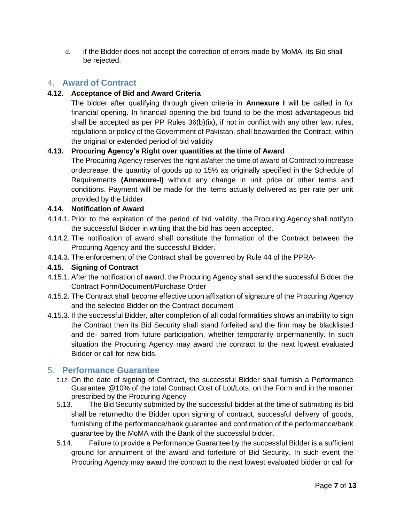d. if the Bidder does not accept the correction of errors made by MoMA, its Bid shall be rejected.

## 4. **Award of Contract**

#### **4.12. Acceptance of Bid and Award Criteria**

The bidder after qualifying through given criteria in **Annexure I** will be called in for financial opening. In financial opening the bid found to be the most advantageous bid shall be accepted as per PP Rules  $36(b)(ix)$ , if not in conflict with any other law, rules, regulations or policy of the Government of Pakistan, shall beawarded the Contract, within the original or extended period of bid validity

#### **4.13. Procuring Agency's Right over quantities at the time of Award**

The Procuring Agency reserves the right at/after the time of award of Contract to increase ordecrease, the quantity of goods up to 15% as originally specified in the Schedule of Requirements **(Annexure-I)** without any change in unit price or other terms and conditions. Payment will be made for the items actually delivered as per rate per unit provided by the bidder.

#### **4.14. Notification of Award**

- 4.14.1. Prior to the expiration of the period of bid validity, the Procuring Agency shall notifyto the successful Bidder in writing that the bid has been accepted.
- 4.14.2. The notification of award shall constitute the formation of the Contract between the Procuring Agency and the successful Bidder.
- 4.14.3. The enforcement of the Contract shall be governed by Rule 44 of the PPRA-

#### **4.15. Signing of Contract**

- 4.15.1. After the notification of award, the Procuring Agency shall send the successful Bidder the Contract Form/Document/Purchase Order
- 4.15.2. The Contract shall become effective upon affixation of signature of the Procuring Agency and the selected Bidder on the Contract document
- 4.15.3. If the successful Bidder, after completion of all codal formalities shows an inability to sign the Contract then its Bid Security shall stand forfeited and the firm may be blacklisted and de- barred from future participation, whether temporarily orpermanently. In such situation the Procuring Agency may award the contract to the next lowest evaluated Bidder or call for new bids.

#### 5. **Performance Guarantee**

- 5.12. On the date of signing of Contract, the successful Bidder shall furnish a Performance Guarantee @10% of the total Contract Cost of Lot/Lots, on the Form and in the manner prescribed by the Procuring Agency
- 5.13. The Bid Security submitted by the successful bidder at the time of submitting its bid shall be returnedto the Bidder upon signing of contract, successful delivery of goods, furnishing of the performance/bank guarantee and confirmation of the performance/bank guarantee by the MoMA with the Bank of the successful bidder.
- 5.14. Failure to provide a Performance Guarantee by the successful Bidder is a sufficient ground for annulment of the award and forfeiture of Bid Security. In such event the Procuring Agency may award the contract to the next lowest evaluated bidder or call for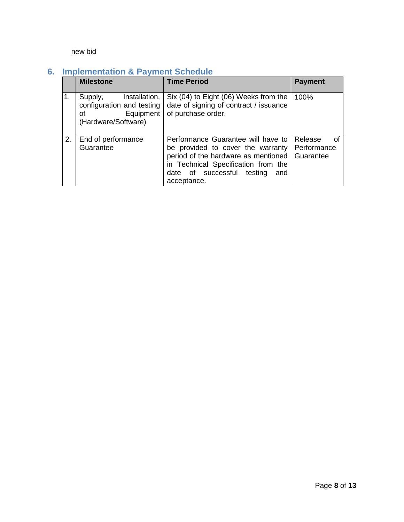#### new bid

# **6. Implementation & Payment Schedule**

|                | <b>Milestone</b>                                                                   | <b>Time Period</b>                                                                                                                                                                                        | <b>Payment</b>                            |
|----------------|------------------------------------------------------------------------------------|-----------------------------------------------------------------------------------------------------------------------------------------------------------------------------------------------------------|-------------------------------------------|
| 1 <sub>1</sub> | Supply,<br>Installation,<br>configuration and testing<br>of<br>(Hardware/Software) | Six (04) to Eight (06) Weeks from the<br>date of signing of contract / issuance<br>Equipment   of purchase order.                                                                                         | 100%                                      |
| 2.             | End of performance<br>Guarantee                                                    | Performance Guarantee will have to<br>be provided to cover the warranty<br>period of the hardware as mentioned<br>in Technical Specification from the<br>date of successful testing<br>and<br>acceptance. | Release<br>0f<br>Performance<br>Guarantee |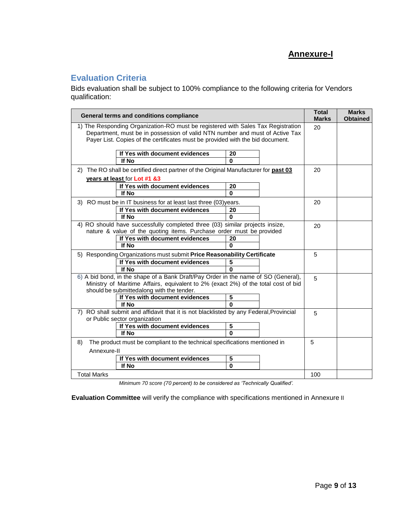## **Annexure-I**

## **Evaluation Criteria**

Bids evaluation shall be subject to 100% compliance to the following criteria for Vendors qualification:

| General terms and conditions compliance                                                                                                                          |                                                                                                                                 |              |    | <b>Total</b><br><b>Marks</b> | <b>Marks</b><br><b>Obtained</b> |
|------------------------------------------------------------------------------------------------------------------------------------------------------------------|---------------------------------------------------------------------------------------------------------------------------------|--------------|----|------------------------------|---------------------------------|
| 1) The Responding Organization-RO must be registered with Sales Tax Registration<br>Department, must be in possession of valid NTN number and must of Active Tax |                                                                                                                                 |              | 20 |                              |                                 |
|                                                                                                                                                                  | Payer List. Copies of the certificates must be provided with the bid document.                                                  |              |    |                              |                                 |
|                                                                                                                                                                  | If Yes with document evidences<br>If No                                                                                         | 20<br>O      |    |                              |                                 |
|                                                                                                                                                                  | 2) The RO shall be certified direct partner of the Original Manufacturer for past 03                                            |              |    | 20                           |                                 |
|                                                                                                                                                                  | years at least for Lot #1 &3                                                                                                    |              |    |                              |                                 |
|                                                                                                                                                                  | If Yes with document evidences                                                                                                  | 20           |    |                              |                                 |
|                                                                                                                                                                  | If No                                                                                                                           | <sup>0</sup> |    |                              |                                 |
|                                                                                                                                                                  | 3) RO must be in IT business for at least last three (03)years.                                                                 |              |    | 20                           |                                 |
|                                                                                                                                                                  | If Yes with document evidences                                                                                                  | 20           |    |                              |                                 |
|                                                                                                                                                                  | If No                                                                                                                           | 0            |    |                              |                                 |
|                                                                                                                                                                  | 4) RO should have successfully completed three (03) similar projects insize,                                                    |              |    | 20                           |                                 |
|                                                                                                                                                                  | nature & value of the quoting items. Purchase order must be provided                                                            |              |    |                              |                                 |
|                                                                                                                                                                  | If Yes with document evidences                                                                                                  | 20           |    |                              |                                 |
|                                                                                                                                                                  | If No<br>0                                                                                                                      |              |    |                              |                                 |
|                                                                                                                                                                  | 5) Responding Organizations must submit Price Reasonability Certificate                                                         |              |    | 5                            |                                 |
|                                                                                                                                                                  | If Yes with document evidences                                                                                                  | 5            |    |                              |                                 |
|                                                                                                                                                                  | If No                                                                                                                           | O            |    |                              |                                 |
|                                                                                                                                                                  | 6) A bid bond, in the shape of a Bank Draft/Pay Order in the name of SO (General),                                              |              |    | 5                            |                                 |
|                                                                                                                                                                  | Ministry of Maritime Affairs, equivalent to 2% (exact 2%) of the total cost of bid<br>should be submittedalong with the tender. |              |    |                              |                                 |
|                                                                                                                                                                  | If Yes with document evidences                                                                                                  | 5            |    |                              |                                 |
|                                                                                                                                                                  | If No                                                                                                                           | U            |    |                              |                                 |
| 7) RO shall submit and affidavit that it is not blacklisted by any Federal, Provincial<br>or Public sector organization                                          |                                                                                                                                 |              |    |                              |                                 |
|                                                                                                                                                                  | If Yes with document evidences                                                                                                  | 5            |    |                              |                                 |
|                                                                                                                                                                  | If No                                                                                                                           | $\bf{0}$     |    |                              |                                 |
| 8)<br>The product must be compliant to the technical specifications mentioned in                                                                                 |                                                                                                                                 |              |    |                              |                                 |
| Annexure-II                                                                                                                                                      |                                                                                                                                 |              |    |                              |                                 |
| If Yes with document evidences<br>5                                                                                                                              |                                                                                                                                 |              |    |                              |                                 |
|                                                                                                                                                                  | If No                                                                                                                           | $\mathbf{0}$ |    |                              |                                 |
| <b>Total Marks</b>                                                                                                                                               |                                                                                                                                 |              |    | 100                          |                                 |

*Minimum 70 score (70 percent) to be considered as 'Technically Qualified'.*

**Evaluation Committee** will verify the compliance with specifications mentioned in Annexure II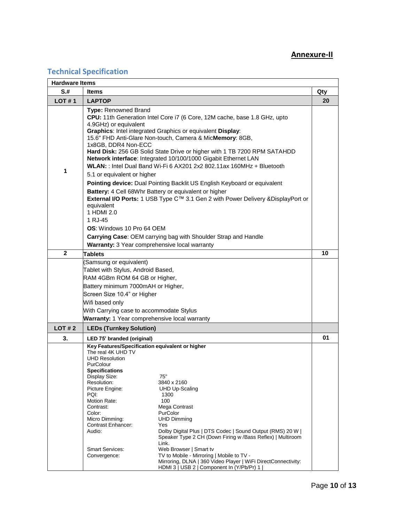#### **Annexure-II**

## **Technical Specification**

| <b>Hardware Items</b> |                                                                                                                                                                                                                                                                                                                                                                                                                                                                                                                                                                                                                                                                                                                                                                                  |     |  |  |  |
|-----------------------|----------------------------------------------------------------------------------------------------------------------------------------------------------------------------------------------------------------------------------------------------------------------------------------------------------------------------------------------------------------------------------------------------------------------------------------------------------------------------------------------------------------------------------------------------------------------------------------------------------------------------------------------------------------------------------------------------------------------------------------------------------------------------------|-----|--|--|--|
| $S+$                  | <b>Items</b>                                                                                                                                                                                                                                                                                                                                                                                                                                                                                                                                                                                                                                                                                                                                                                     | Qty |  |  |  |
| LOT#1                 | <b>LAPTOP</b>                                                                                                                                                                                                                                                                                                                                                                                                                                                                                                                                                                                                                                                                                                                                                                    |     |  |  |  |
| 1                     | <b>Type: Renowned Brand</b><br>CPU: 11th Generation Intel Core i7 (6 Core, 12M cache, base 1.8 GHz, upto<br>4.9GHz) or equivalent<br><b>Graphics:</b> Intel integrated Graphics or equivalent <b>Display</b> :<br>15.6" FHD Anti-Glare Non-touch, Camera & MicMemory: 8GB,<br>1x8GB, DDR4 Non-ECC<br>Hard Disk: 256 GB Solid State Drive or higher with 1 TB 7200 RPM SATAHDD<br>Network interface: Integrated 10/100/1000 Gigabit Ethernet LAN<br>WLAN: : Intel Dual Band Wi-Fi 6 AX201 2x2 802.11ax 160MHz + Bluetooth<br>5.1 or equivalent or higher<br>Pointing device: Dual Pointing Backlit US English Keyboard or equivalent<br>Battery: 4 Cell 68Whr Battery or equivalent or higher<br>External I/O Ports: 1 USB Type C™ 3.1 Gen 2 with Power Delivery & DisplayPort or |     |  |  |  |
|                       | equivalent<br>1 HDMI 2.0<br>1 RJ-45<br><b>OS:</b> Windows 10 Pro 64 OEM<br>Carrying Case: OEM carrying bag with Shoulder Strap and Handle<br>Warranty: 3 Year comprehensive local warranty                                                                                                                                                                                                                                                                                                                                                                                                                                                                                                                                                                                       |     |  |  |  |
| $\overline{2}$        | Tablets                                                                                                                                                                                                                                                                                                                                                                                                                                                                                                                                                                                                                                                                                                                                                                          |     |  |  |  |
|                       | Samsung or equivalent)<br>Tablet with Stylus, Android Based,<br>RAM 4GBm ROM 64 GB or Higher,<br>Battery minimum 7000mAH or Higher,<br>Screen Size 10.4" or Higher<br>Wifi based only<br>With Carrying case to accommodate Stylus<br>Warranty: 1 Year comprehensive local warranty                                                                                                                                                                                                                                                                                                                                                                                                                                                                                               |     |  |  |  |
| LOT#2                 | <b>LEDs (Turnkey Solution)</b>                                                                                                                                                                                                                                                                                                                                                                                                                                                                                                                                                                                                                                                                                                                                                   |     |  |  |  |
| 3.                    | LED 75' branded (original)                                                                                                                                                                                                                                                                                                                                                                                                                                                                                                                                                                                                                                                                                                                                                       | 01  |  |  |  |
|                       | Key Features/Specification equivalent or higher<br>The real 4K UHD TV<br><b>UHD Resolution</b><br>PurColour<br><b>Specifications</b><br>Display Size:<br>75"<br>Resolution:<br>3840 x 2160<br>Picture Engine:<br><b>UHD Up-Scaling</b><br>PQI:<br>1300<br>Motion Rate:<br>100<br>Contrast:<br>Mega Contrast<br>Color:<br>PurColor<br>Micro Dimming:<br><b>UHD Dimming</b><br>Contrast Enhancer:<br>Yes<br>Audio:<br>Dolby Digital Plus   DTS Codec   Sound Output (RMS) 20 W  <br>Speaker Type 2 CH (Down Firing w /Bass Reflex)   Multiroom<br>Link.<br><b>Smart Services:</b><br>Web Browser   Smart tv                                                                                                                                                                        |     |  |  |  |
|                       | TV to Mobile - Mirroring   Mobile to TV -<br>Convergence:<br>Mirroring, DLNA   360 Video Player   WiFi DirectConnectivity:<br>HDMI 3   USB 2   Component In (Y/Pb/Pr) 1                                                                                                                                                                                                                                                                                                                                                                                                                                                                                                                                                                                                          |     |  |  |  |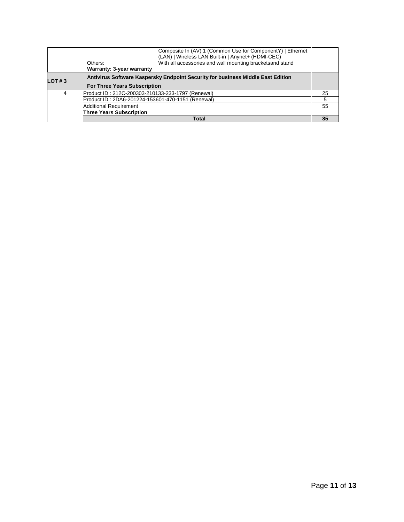|           | Composite In (AV) 1 (Common Use for ComponentY)   Ethernet<br>(LAN)   Wireless LAN Built-in   Anynet+ (HDMI-CEC) |    |  |  |
|-----------|------------------------------------------------------------------------------------------------------------------|----|--|--|
|           | With all accessories and wall mounting bracketsand stand<br>Others:                                              |    |  |  |
|           | Warranty: 3-year warranty                                                                                        |    |  |  |
| LOT # $3$ | Antivirus Software Kaspersky Endpoint Security for business Middle East Edition                                  |    |  |  |
|           | <b>For Three Years Subscription</b>                                                                              |    |  |  |
| 4         | Product ID: 212C-200303-210133-233-1797 (Renewal)                                                                | 25 |  |  |
|           | Product ID: 2DA6-201224-153601-470-1151 (Renewal)                                                                |    |  |  |
|           | <b>Additional Requirement</b>                                                                                    |    |  |  |
|           | <b>Three Years Subscription</b>                                                                                  |    |  |  |
|           | <b>Total</b>                                                                                                     | 85 |  |  |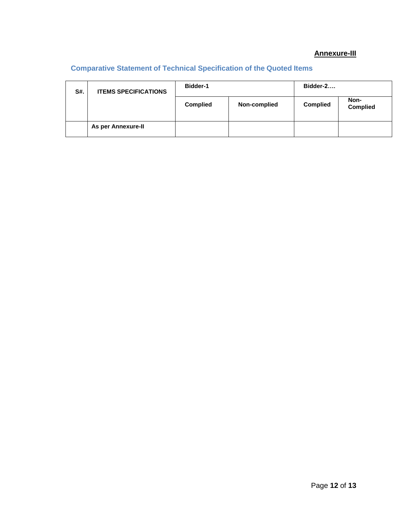## **Annexure-III**

## **Comparative Statement of Technical Specification of the Quoted Items**

| S#. | <b>ITEMS SPECIFICATIONS</b> | <b>Bidder-1</b> |              | Bidder-2        |                         |
|-----|-----------------------------|-----------------|--------------|-----------------|-------------------------|
|     |                             | <b>Complied</b> | Non-complied | <b>Complied</b> | Non-<br><b>Complied</b> |
|     | As per Annexure-II          |                 |              |                 |                         |